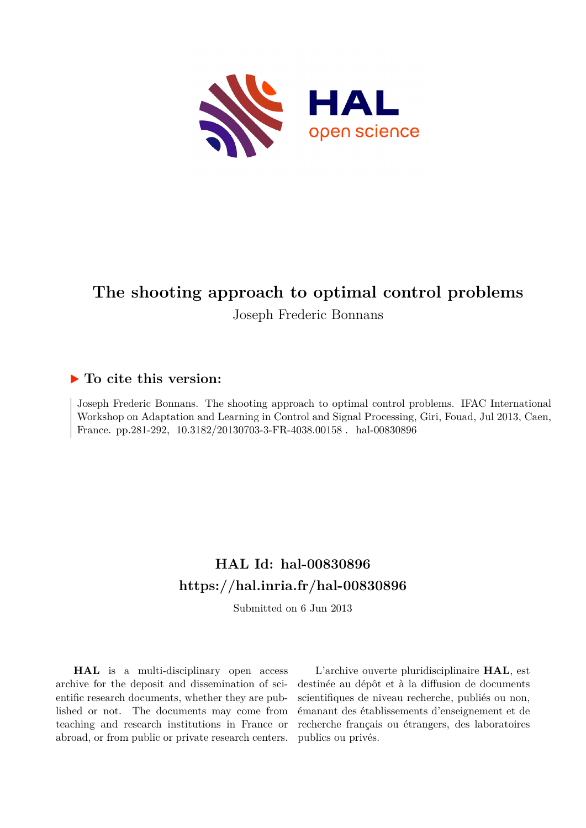

# **The shooting approach to optimal control problems**

Joseph Frederic Bonnans

# **To cite this version:**

Joseph Frederic Bonnans. The shooting approach to optimal control problems. IFAC International Workshop on Adaptation and Learning in Control and Signal Processing, Giri, Fouad, Jul 2013, Caen, France. pp.281-292, 10.3182/20130703-3-FR-4038.00158 . hal-00830896

# **HAL Id: hal-00830896 <https://hal.inria.fr/hal-00830896>**

Submitted on 6 Jun 2013

**HAL** is a multi-disciplinary open access archive for the deposit and dissemination of scientific research documents, whether they are published or not. The documents may come from teaching and research institutions in France or abroad, or from public or private research centers.

L'archive ouverte pluridisciplinaire **HAL**, est destinée au dépôt et à la diffusion de documents scientifiques de niveau recherche, publiés ou non, émanant des établissements d'enseignement et de recherche français ou étrangers, des laboratoires publics ou privés.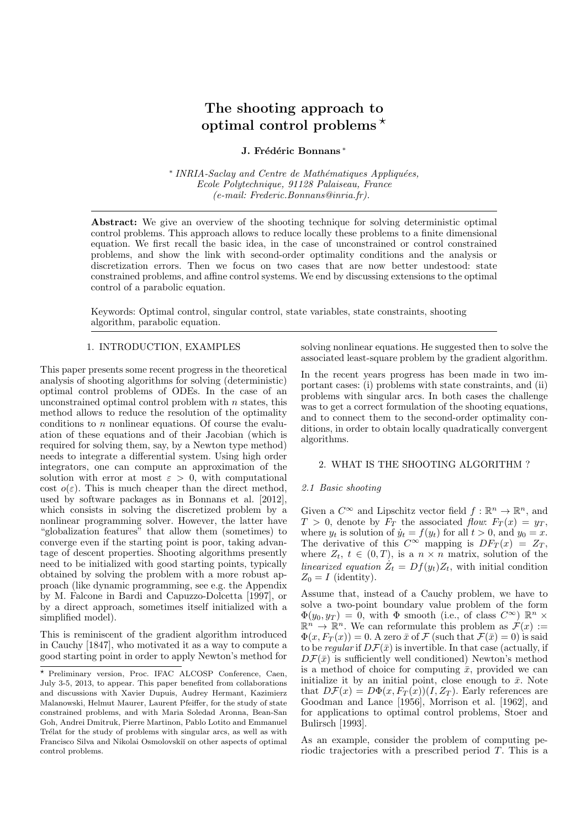# The shooting approach to optimal control problems  $\star$

# J. Frédéric Bonnans\*

\* INRIA-Saclay and Centre de Mathématiques Appliquées, Ecole Polytechnique, 91128 Palaiseau, France (e-mail: Frederic.Bonnans@inria.fr).

Abstract: We give an overview of the shooting technique for solving deterministic optimal control problems. This approach allows to reduce locally these problems to a finite dimensional equation. We first recall the basic idea, in the case of unconstrained or control constrained problems, and show the link with second-order optimality conditions and the analysis or discretization errors. Then we focus on two cases that are now better undestood: state constrained problems, and affine control systems. We end by discussing extensions to the optimal control of a parabolic equation.

Keywords: Optimal control, singular control, state variables, state constraints, shooting algorithm, parabolic equation.

# 1. INTRODUCTION, EXAMPLES

This paper presents some recent progress in the theoretical analysis of shooting algorithms for solving (deterministic) optimal control problems of ODEs. In the case of an unconstrained optimal control problem with  $n$  states, this method allows to reduce the resolution of the optimality conditions to  $n$  nonlinear equations. Of course the evaluation of these equations and of their Jacobian (which is required for solving them, say, by a Newton type method) needs to integrate a differential system. Using high order integrators, one can compute an approximation of the solution with error at most  $\varepsilon > 0$ , with computational cost  $o(\varepsilon)$ . This is much cheaper than the direct method, used by software packages as in Bonnans et al. [2012], which consists in solving the discretized problem by a nonlinear programming solver. However, the latter have "globalization features" that allow them (sometimes) to converge even if the starting point is poor, taking advantage of descent properties. Shooting algorithms presently need to be initialized with good starting points, typically obtained by solving the problem with a more robust approach (like dynamic programming, see e.g. the Appendix by M. Falcone in Bardi and Capuzzo-Dolcetta [1997], or by a direct approach, sometimes itself initialized with a simplified model).

This is reminiscent of the gradient algorithm introduced in Cauchy [1847], who motivated it as a way to compute a good starting point in order to apply Newton's method for solving nonlinear equations. He suggested then to solve the associated least-square problem by the gradient algorithm.

In the recent years progress has been made in two important cases: (i) problems with state constraints, and (ii) problems with singular arcs. In both cases the challenge was to get a correct formulation of the shooting equations, and to connect them to the second-order optimality conditions, in order to obtain locally quadratically convergent algorithms.

### 2. WHAT IS THE SHOOTING ALGORITHM ?

# 2.1 Basic shooting

Given a  $C^{\infty}$  and Lipschitz vector field  $f : \mathbb{R}^n \to \mathbb{R}^n$ , and  $T > 0$ , denote by  $F_T$  the associated flow:  $F_T(x) = y_T$ , where  $y_t$  is solution of  $\dot{y}_t = f(y_t)$  for all  $t > 0$ , and  $y_0 = x$ . The derivative of this  $C^{\infty}$  mapping is  $DF_T(x) = Z_T$ , where  $Z_t$ ,  $t \in (0,T)$ , is a  $n \times n$  matrix, solution of the linearized equation  $\dot{Z}_t = Df(y_t)Z_t$ , with initial condition  $Z_0 = I$  (identity).

Assume that, instead of a Cauchy problem, we have to solve a two-point boundary value problem of the form  $\Phi(y_0, y_T) = 0$ , with  $\Phi$  smooth (i.e., of class  $C^{\infty}$ )  $\mathbb{R}^n$  ×  $\mathbb{R}^n \to \mathbb{R}^n$ . We can reformulate this problem as  $\mathcal{F}(x) :=$  $\Phi(x, F_T(x)) = 0$ . A zero  $\bar{x}$  of  $\mathcal F$  (such that  $\mathcal F(\bar{x}) = 0$ ) is said to be regular if  $D\mathcal{F}(\bar{x})$  is invertible. In that case (actually, if  $D\mathcal{F}(\bar{x})$  is sufficiently well conditioned) Newton's method is a method of choice for computing  $\bar{x}$ , provided we can initialize it by an initial point, close enough to  $\bar{x}$ . Note that  $D\mathcal{F}(x) = D\Phi(x, F_T(x))(I, Z_T)$ . Early references are Goodman and Lance [1956], Morrison et al. [1962], and for applications to optimal control problems, Stoer and Bulirsch [1993].

As an example, consider the problem of computing periodic trajectories with a prescribed period T. This is a

<sup>?</sup> Preliminary version, Proc. IFAC ALCOSP Conference, Caen, July 3-5, 2013, to appear. This paper benefited from collaborations and discussions with Xavier Dupuis, Audrey Hermant, Kazimierz Malanowski, Helmut Maurer, Laurent Pfeiffer, for the study of state constrained problems, and with Maria Soledad Aronna, Bean-San Goh, Andrei Dmitruk, Pierre Martinon, Pablo Lotito and Emmanuel Trélat for the study of problems with singular arcs, as well as with Francisco Silva and Nikolai Osmolovskiı̆ on other aspects of optimal control problems.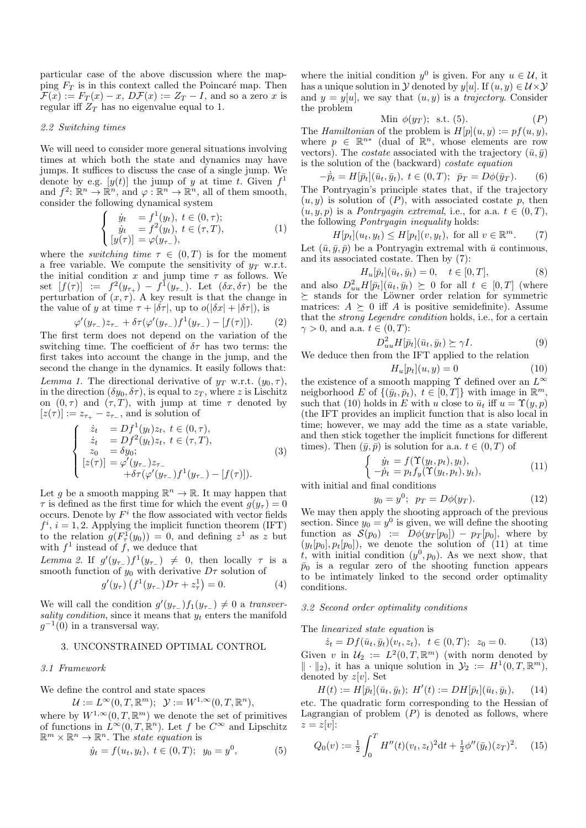particular case of the above discussion where the mapping  $F_T$  is in this context called the Poincaré map. Then  $\mathcal{F}(x) := F_T(x) - x$ ,  $D\mathcal{F}(x) := Z_T - I$ , and so a zero x is regular iff  $Z_T$  has no eigenvalue equal to 1.

# 2.2 Switching times

We will need to consider more general situations involving times at which both the state and dynamics may have jumps. It suffices to discuss the case of a single jump. We denote by e.g.  $[y(t)]$  the jump of y at time t. Given  $f<sup>1</sup>$ and  $f^2: \mathbb{R}^n \to \mathbb{R}^n$ , and  $\varphi: \mathbb{R}^n \to \mathbb{R}^n$ , all of them smooth, consider the following dynamical system

$$
\begin{cases}\n\dot{y}_t &= f^1(y_t), \ t \in (0, \tau);\n\\ \n\dot{y}_t &= f^2(y_t), \ t \in (\tau, T),\n\\ \n[y(\tau)] &= \varphi(y_{\tau-}),\n\end{cases} \tag{1}
$$

where the *switching time*  $\tau \in (0,T)$  is for the moment a free variable. We compute the sensitivity of  $y_T$  w.r.t. the initial condition x and jump time  $\tau$  as follows. We set  $[f(\tau)] := f^2(y_{\tau_+}) - f^1(y_{\tau_-}).$  Let  $(\delta x, \delta \tau)$  be the perturbation of  $(x, \tau)$ . A key result is that the change in the value of y at time  $\tau + |\delta \tau|$ , up to  $o(|\delta x| + |\delta \tau|)$ , is

$$
\varphi'(y_{\tau_-})z_{\tau_-} + \delta \tau (\varphi'(y_{\tau_-})f^1(y_{\tau_-}) - [f(\tau)]). \tag{2}
$$

The first term does not depend on the variation of the switching time. The coefficient of  $\delta\tau$  has two terms: the first takes into account the change in the jump, and the second the change in the dynamics. It easily follows that: Lemma 1. The directional derivative of  $y_T$  w.r.t.  $(y_0, \tau)$ , in the direction  $(\delta y_0, \delta \tau)$ , is equal to  $z_T$ , where z is Lischitz on  $(0, \tau)$  and  $(\tau, T)$ , with jump at time  $\tau$  denoted by  $[z(\tau)] := z_{\tau_+} - z_{\tau_-}$ , and is solution of

$$
\begin{cases}\n\dot{z}_t &= Df^1(y_t)z_t, \ t \in (0, \tau), \\
\dot{z}_t &= Df^2(y_t)z_t, \ t \in (\tau, T), \\
z_0 &= \delta y_0; \\
[z(\tau)] &= \varphi'(y_{\tau-})z_{\tau-} \\
+\delta \tau(\varphi'(y_{\tau-})f^1(y_{\tau-}) - [f(\tau)]).\n\end{cases} (3)
$$

Let g be a smooth mapping  $\mathbb{R}^n \to \mathbb{R}$ . It may happen that  $\tau$  is defined as the first time for which the event  $g(y_\tau) = 0$ occurs. Denote by  $F^i$  the flow associated with vector fields  $f^i$ ,  $i = 1, 2$ . Applying the implicit function theorem (IFT) to the relation  $g(F_\tau^1(y_0)) = 0$ , and defining  $z^1$  as z but with  $f^1$  instead of f, we deduce that

Lemma 2. If  $g'(y_{\tau-})f^1(y_{\tau-}) \neq 0$ , then locally  $\tau$  is a smooth function of  $y_0$  with derivative  $D\tau$  solution of

$$
g'(y_{\tau})\left(f^{1}(y_{\tau_{-}})D\tau+z_{\tau}^{1}\right)=0.
$$
 (4)

We will call the condition  $g'(y_{\tau_-})f_1(y_{\tau_-}) \neq 0$  a transversality condition, since it means that  $y_t$  enters the manifold  $g^{-1}(0)$  in a transversal way.

# 3. UNCONSTRAINED OPTIMAL CONTROL

#### 3.1 Framework

We define the control and state spaces

$$
\mathcal{U} := L^{\infty}(0, T, \mathbb{R}^m); \quad \mathcal{Y} := W^{1, \infty}(0, T, \mathbb{R}^n),
$$

where by 
$$
W^{1,\infty}(0,T,\mathbb{R}^m)
$$
 we denote the set of primitives  
of functions in  $L^{\infty}(0,T,\mathbb{R}^n)$ . Let f be  $C^{\infty}$  and Lipschitz  
 $\mathbb{R}^m \times \mathbb{R}^n \to \mathbb{R}^n$ . The *state equation* is

$$
\dot{y}_t = f(u_t, y_t), \ t \in (0, T); \ y_0 = y^0,\tag{5}
$$

where the initial condition  $y^0$  is given. For any  $u \in \mathcal{U}$ , it has a unique solution in  $\mathcal Y$  denoted by y[u]. If  $(u, y) \in \mathcal U \times \mathcal Y$ and  $y = y[u]$ , we say that  $(u, y)$  is a *trajectory*. Consider the problem

$$
\text{Min } \phi(y_T); \text{ s.t. } (5). \tag{P}
$$

The Hamiltonian of the problem is  $H[p](u, y) := pf(u, y)$ , where  $p \in \mathbb{R}^{n*}$  (dual of  $\mathbb{R}^n$ , whose elements are row vectors). The *costate* associated with the trajectory  $(\bar{u}, \bar{y})$ is the solution of the (backward) costate equation

$$
-\dot{\bar{p}}_t = H[\bar{p}_t](\bar{u}_t, \bar{y}_t), t \in (0, T); \bar{p}_T = D\phi(\bar{y}_T). \qquad (6)
$$
The Pontryagin's principle states that, if the trajectory  $(u, y)$  is solution of  $(P)$ , with associated costate  $p$ , then  $(u, y, p)$  is a Pontryagin extremal, i.e., for a.a.  $t \in (0, T)$ , the following Pontryagin inequality holds:

$$
H[p_t](u_t, y_t) \le H[p_t](v, y_t), \text{ for all } v \in \mathbb{R}^m. \tag{7}
$$

Let  $(\bar{u}, \bar{y}, \bar{p})$  be a Pontryagin extremal with  $\bar{u}$  continuous, and its associated costate. Then by (7):

$$
H_u[\bar{p}_t](\bar{u}_t, \bar{y}_t) = 0, \quad t \in [0, T], \tag{8}
$$

and also  $D_{uu}^2 H[\bar{p}_t](\bar{u}_t, \bar{y}_t) \succeq 0$  for all  $t \in [0, T]$  (where  $\succeq$  stands for the Löwner order relation for symmetric matrices:  $A \succeq 0$  iff A is positive semidefinite). Assume that the strong Legendre condition holds, i.e., for a certain  $\gamma > 0$ , and a.a.  $t \in (0, T)$ :

$$
D_{uu}^2 H[\bar{p}_t](\bar{u}_t, \bar{y}_t) \succeq \gamma I.
$$
 (9)

We deduce then from the IFT applied to the relation

$$
H_u[p_t](u, y) = 0 \tag{10}
$$

the existence of a smooth mapping  $\Upsilon$  defined over an  $L^\infty$ neigborhood E of  $\{(\bar{y}_t, \bar{p}_t), t \in [0,T]\}$  with image in  $\mathbb{R}^m$ , such that (10) holds in E with u close to  $\bar{u}_t$  iff  $u = \Upsilon(y, p)$ (the IFT provides an implicit function that is also local in time; however, we may add the time as a state variable, and then stick together the implicit functions for different times). Then  $(\bar{y}, \bar{p})$  is solution for a.a.  $t \in (0, T)$  of

$$
\begin{cases}\n\dot{y}_t = f(\Upsilon(y_t, p_t), y_t), \\
-\dot{p}_t = p_t f_y(\Upsilon(y_t, p_t), y_t),\n\end{cases} \tag{11}
$$

with initial and final conditions

$$
y_0 = y^0; \ \ p_T = D\phi(y_T).
$$
 (12)

We may then apply the shooting approach of the previous section. Since  $y_0 = y^0$  is given, we will define the shooting function as  $S(p_0) := D\phi(y_T[p_0]) - p_T[p_0],$  where by  $(y_t[p_0], p_t[p_0])$ , we denote the solution of (11) at time t, with initial condition  $(y^0, p_0)$ . As we next show, that  $\bar{p}_0$  is a regular zero of the shooting function appears to be intimately linked to the second order optimality conditions.

# 3.2 Second order optimality conditions

The linearized state equation is

 $\dot{z}_t = Df(\bar{u}_t, \bar{y}_t)(v_t, z_t), t \in (0, T); z_0 = 0.$  (13) Given v in  $\mathcal{U}_2 := L^2(0,T,\mathbb{R}^m)$  (with norm denoted by  $\|\cdot\|_2$ , it has a unique solution in  $\mathcal{Y}_2 := H^1(0,T,\mathbb{R}^m)$ , denoted by  $z[v]$ . Set

$$
H(t) := H[\bar{p}_t](\bar{u}_t, \bar{y}_t); \ H'(t) := DH[\bar{p}_t](\bar{u}_t, \bar{y}_t), \qquad (14)
$$

etc. The quadratic form corresponding to the Hessian of Lagrangian of problem  $(P)$  is denoted as follows, where  $z=z[v]$ :

$$
Q_0(v) := \frac{1}{2} \int_0^T H''(t)(v_t, z_t)^2 dt + \frac{1}{2} \phi''(\bar{y}_t)(z_T)^2.
$$
 (15)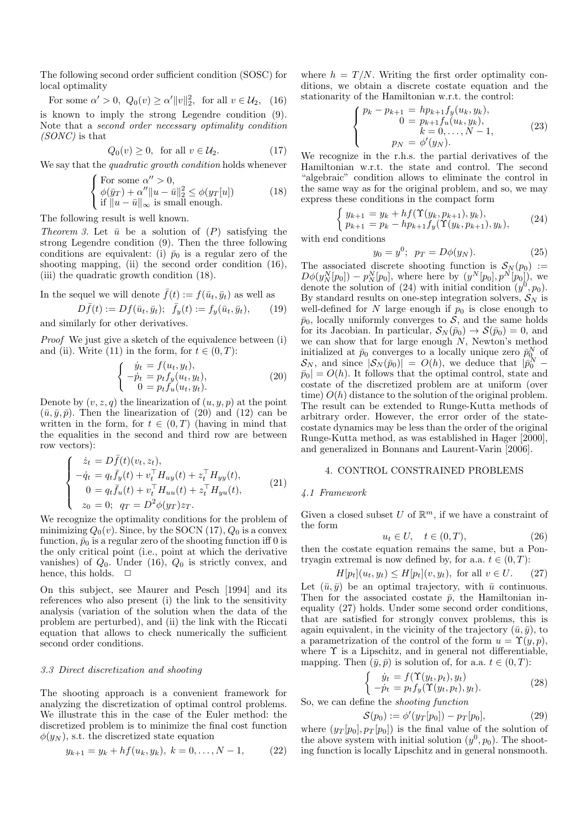The following second order sufficient condition (SOSC) for local optimality

For some 
$$
\alpha' > 0
$$
,  $Q_0(v) \ge \alpha' ||v||_2^2$ , for all  $v \in \mathcal{U}_2$ , (16)

is known to imply the strong Legendre condition (9). Note that a second order necessary optimality condition (SONC) is that

$$
Q_0(v) \ge 0, \text{ for all } v \in \mathcal{U}_2. \tag{17}
$$

We say that the *quadratic growth condition* holds whenever

$$
\begin{cases}\n\text{For some } \alpha'' > 0, \\
\phi(\bar{y}_T) + \alpha'' ||u - \bar{u}||_2^2 \le \phi(y_T[u]) \\
\text{if } ||u - \bar{u}||_{\infty} \text{ is small enough.} \n\end{cases} \tag{18}
$$

The following result is well known.

Theorem 3. Let  $\bar{u}$  be a solution of  $(P)$  satisfying the strong Legendre condition (9). Then the three following conditions are equivalent: (i)  $\bar{p}_0$  is a regular zero of the shooting mapping, (ii) the second order condition (16), (iii) the quadratic growth condition (18).

In the sequel we will denote 
$$
\bar{f}(t):=f(\bar{u}_t,\bar{y}_t)
$$
 as well as

$$
D\bar{f}(t) := Df(\bar{u}_t, \bar{y}_t); \quad \bar{f}_y(t) := f_y(\bar{u}_t, \bar{y}_t), \qquad (19)
$$
 and similarly for other derivatives.

Proof We just give a sketch of the equivalence between (i) and (ii). Write (11) in the form, for  $t \in (0, T)$ :

$$
\begin{cases}\n\dot{y}_t = f(u_t, y_t), \\
-\dot{p}_t = p_t f_y(u_t, y_t), \\
0 = p_t f_u(u_t, y_t).\n\end{cases} (20)
$$

Denote by  $(v, z, q)$  the linearization of  $(u, y, p)$  at the point  $(\bar{u}, \bar{y}, \bar{p})$ . Then the linearization of (20) and (12) can be written in the form, for  $t \in (0,T)$  (having in mind that the equalities in the second and third row are between row vectors):

$$
\begin{cases}\n\dot{z}_t = D\bar{f}(t)(v_t, z_t), \\
-\dot{q}_t = q_t \bar{f}_y(t) + v_t^\top H_{uy}(t) + z_t^\top H_{yy}(t), \\
0 = q_t \bar{f}_u(t) + v_t^\top H_{uu}(t) + z_t^\top H_{yu}(t), \\
z_0 = 0; \ q_T = D^2 \phi(y_T) z_T.\n\end{cases} (21)
$$

We recognize the optimality conditions for the problem of minimizing  $Q_0(v)$ . Since, by the SOCN (17),  $Q_0$  is a convex function,  $\bar{p}_0$  is a regular zero of the shooting function iff 0 is the only critical point (i.e., point at which the derivative vanishes) of  $Q_0$ . Under (16),  $Q_0$  is strictly convex, and hence, this holds.  $\Box$ 

On this subject, see Maurer and Pesch [1994] and its references who also present (i) the link to the sensitivity analysis (variation of the solution when the data of the problem are perturbed), and (ii) the link with the Riccati equation that allows to check numerically the sufficient second order conditions.

#### 3.3 Direct discretization and shooting

The shooting approach is a convenient framework for analyzing the discretization of optimal control problems. We illustrate this in the case of the Euler method: the discretized problem is to minimize the final cost function  $\phi(y_N)$ , s.t. the discretized state equation

$$
y_{k+1} = y_k + h f(u_k, y_k), \ k = 0, \dots, N-1,
$$
 (22)

where  $h = T/N$ . Writing the first order optimality conditions, we obtain a discrete costate equation and the stationarity of the Hamiltonian w.r.t. the control:

$$
\begin{cases}\n p_k - p_{k+1} = h p_{k+1} f_y(u_k, y_k), \\
 0 = p_{k+1} f_u(u_k, y_k), \\
 k = 0, \dots, N-1, \\
 p_N = \phi'(y_N).\n\end{cases}
$$
\n(23)

We recognize in the r.h.s. the partial derivatives of the Hamiltonian w.r.t. the state and control. The second "algebraic" condition allows to eliminate the control in the same way as for the original problem, and so, we may express these conditions in the compact form

$$
\begin{cases} y_{k+1} = y_k + h f(\Upsilon(y_k, p_{k+1}), y_k), \\ p_{k+1} = p_k - h p_{k+1} f_y(\Upsilon(y_k, p_{k+1}), y_k), \end{cases} (24)
$$

$$
y_0 = y^0; \ \ p_T = D\phi(y_N). \tag{25}
$$

The associated discrete shooting function is  $S_N(p_0)$  :=  $D\phi(y_N^N[p_0]) - p_N^N[p_0],$  where here by  $(y^N[p_0], p^N[p_0]),$  we denote the solution of (24) with initial condition  $(y^0, p_0)$ . By standard results on one-step integration solvers,  $S_N$  is well-defined for  $N$  large enough if  $p_0$  is close enough to  $\bar{p}_0$ , locally uniformly converges to S, and the same holds for its Jacobian. In particular,  $S_N(\bar{p}_0) \to S(\bar{p}_0) = 0$ , and we can show that for large enough  $N$ , Newton's method initialized at  $\bar{p}_0$  converges to a locally unique zero  $\bar{p}_{0}^N$  of  $\mathcal{S}_N$ , and since  $|\mathcal{S}_N(\bar{p}_0)| = O(h)$ , we deduce that  $|\bar{p}_0^N \bar{p}_0| = O(h)$ . It follows that the optimal control, state and costate of the discretized problem are at uniform (over time)  $O(h)$  distance to the solution of the original problem. The result can be extended to Runge-Kutta methods of arbitrary order. However, the error order of the statecostate dynamics may be less than the order of the original Runge-Kutta method, as was established in Hager [2000], and generalized in Bonnans and Laurent-Varin [2006].

# 4. CONTROL CONSTRAINED PROBLEMS

#### 4.1 Framework

with end conditions

Given a closed subset  $U$  of  $\mathbb{R}^m$ , if we have a constraint of the form

$$
u_t \in U, \quad t \in (0, T), \tag{26}
$$

then the costate equation remains the same, but a Pontryagin extremal is now defined by, for a.a.  $t \in (0, T)$ :

$$
H[p_t](u_t, y_t) \le H[p_t](v, y_t), \text{ for all } v \in U. \tag{27}
$$

Let  $(\bar{u}, \bar{y})$  be an optimal trajectory, with  $\bar{u}$  continuous. Then for the associated costate  $\bar{p}$ , the Hamiltonian inequality (27) holds. Under some second order conditions, that are satisfied for strongly convex problems, this is again equivalent, in the vicinity of the trajectory  $(\bar{u}, \bar{y})$ , to a parametrization of the control of the form  $u = \Upsilon(y, p)$ , where  $\Upsilon$  is a Lipschitz, and in general not differentiable, mapping. Then  $(\bar{y}, \bar{p})$  is solution of, for a.a.  $t \in (0, T)$ :

$$
\begin{cases}\n\dot{y}_t = f(\Upsilon(y_t, p_t), y_t) \\
-\dot{p}_t = p_t f_y(\Upsilon(y_t, p_t), y_t).\n\end{cases} \tag{28}
$$

So, we can define the shooting function

$$
S(p_0) := \phi'(y_T[p_0]) - p_T[p_0], \tag{29}
$$

where  $(y_T[p_0], p_T[p_0])$  is the final value of the solution of the above system with initial solution  $(y^0, p_0)$ . The shooting function is locally Lipschitz and in general nonsmooth.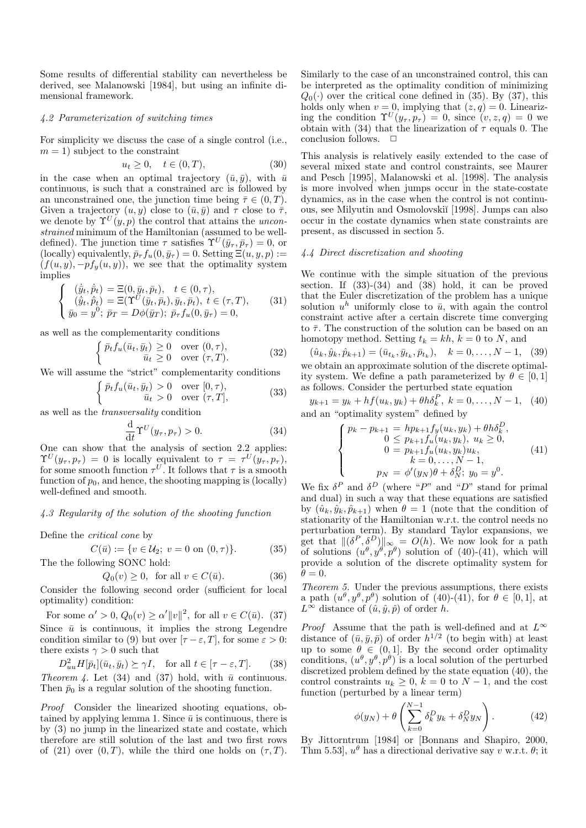Some results of differential stability can nevertheless be derived, see Malanowski [1984], but using an infinite dimensional framework.

# 4.2 Parameterization of switching times

For simplicity we discuss the case of a single control (i.e.,  $m = 1$ ) subject to the constraint

$$
u_t \ge 0, \quad t \in (0, T), \tag{30}
$$

in the case when an optimal trajectory  $(\bar{u}, \bar{y})$ , with  $\bar{u}$ continuous, is such that a constrained arc is followed by an unconstrained one, the junction time being  $\bar{\tau} \in (0, T)$ . Given a trajectory  $(u, y)$  close to  $(\bar{u}, \bar{y})$  and  $\tau$  close to  $\bar{\tau}$ , we denote by  $\Upsilon^{U}(y, p)$  the control that attains the *uncon*strained minimum of the Hamiltonian (assumed to be welldefined). The junction time  $\tau$  satisfies  $\Upsilon^{U}(\bar{y}_{\tau}, \bar{p}_{\tau}) = 0$ , or (locally) equivalently,  $\bar{p}_{\tau} f_u(0, \bar{y}_{\tau}) = 0$ . Setting  $\Xi(u, y, p) :=$  $(f(u, y), -pf_{y}(u, y))$ , we see that the optimality system implies

$$
\begin{cases}\n(\dot{\bar{y}}_t, \dot{\bar{p}}_t) = \Xi(0, \bar{y}_t, \bar{p}_t), & t \in (0, \tau), \\
(\dot{\bar{y}}_t, \dot{\bar{p}}_t) = \Xi(\Upsilon^U(\bar{y}_t, \bar{p}_t), \bar{y}_t, \bar{p}_t), & t \in (\tau, T), \\
\bar{y}_0 = y^0; \ \bar{p}_T = D\phi(\bar{y}_T); \ \bar{p}_T f_u(0, \bar{y}_T) = 0,\n\end{cases}
$$
\n(31)

as well as the complementarity conditions

$$
\begin{cases} \bar{p}_t f_u(\bar{u}_t, \bar{y}_t) \ge 0 & \text{over } (0, \tau), \\ \bar{u}_t \ge 0 & \text{over } (\tau, T). \end{cases}
$$
 (32)

We will assume the "strict" complementarity conditions

$$
\begin{cases} \bar{p}_t f_u(\bar{u}_t, \bar{y}_t) > 0 & \text{over } [0, \tau), \\ \bar{u}_t > 0 & \text{over } (\tau, T], \end{cases}
$$
 (33)

as well as the transversality condition

$$
\frac{\mathrm{d}}{\mathrm{d}t} \Upsilon^{U}(y_{\tau}, p_{\tau}) > 0. \tag{34}
$$

One can show that the analysis of section 2.2 applies:  $\Upsilon^{U}(y_{\tau}, p_{\tau}) = 0$  is locally equivalent to  $\tau = \tau^{U}(y_{\tau}, p_{\tau}),$ for some smooth function  $\tau^U$ . It follows that  $\tau$  is a smooth function of  $p_0$ , and hence, the shooting mapping is (locally) well-defined and smooth.

# 4.3 Regularity of the solution of the shooting function

Define the critical cone by

$$
C(\bar{u}) := \{ v \in \mathcal{U}_2; \ v = 0 \text{ on } (0, \tau) \}. \tag{35}
$$

The the following SONC hold:

$$
Q_0(v) \ge 0, \text{ for all } v \in C(\bar{u}).
$$
 (36)

Consider the following second order (sufficient for local optimality) condition:

For some  $\alpha' > 0$ ,  $Q_0(v) \ge \alpha' ||v||^2$ , for all  $v \in C(\bar{u})$ . (37) Since  $\bar{u}$  is continuous, it implies the strong Legendre condition similar to (9) but over  $[\tau - \varepsilon, T]$ , for some  $\varepsilon > 0$ : there exists  $\gamma > 0$  such that

 $D_{uu}^2 H[\bar{p}_t](\bar{u}_t, \bar{y}_t) \succeq \gamma I$ , for all  $t \in [\tau - \varepsilon, T]$ . (38) Theorem 4. Let (34) and (37) hold, with  $\bar{u}$  continuous. Then  $\bar{p}_0$  is a regular solution of the shooting function.

Proof Consider the linearized shooting equations, obtained by applying lemma 1. Since  $\bar{u}$  is continuous, there is by (3) no jump in the linearized state and costate, which therefore are still solution of the last and two first rows of (21) over  $(0, T)$ , while the third one holds on  $(\tau, T)$ .

Similarly to the case of an unconstrained control, this can be interpreted as the optimality condition of minimizing  $Q_0(\cdot)$  over the critical cone defined in (35). By (37), this holds only when  $v = 0$ , implying that  $(z, q) = 0$ . Linearizing the condition  $\Upsilon^{U}(y_{\tau}, p_{\tau}) = 0$ , since  $(v, z, q) = 0$  we obtain with (34) that the linearization of  $\tau$  equals 0. The conclusion follows.  $\Box$ 

This analysis is relatively easily extended to the case of several mixed state and control constraints, see Maurer and Pesch [1995], Malanowski et al. [1998]. The analysis is more involved when jumps occur in the state-costate dynamics, as in the case when the control is not continuous, see Milyutin and Osmolovski˘ı [1998]. Jumps can also occur in the costate dynamics when state constraints are present, as discussed in section 5.

#### 4.4 Direct discretization and shooting

We continue with the simple situation of the previous section. If  $(33)-(34)$  and  $(38)$  hold, it can be proved that the Euler discretization of the problem has a unique solution  $u^h$  uniformly close to  $\bar{u}$ , with again the control constraint active after a certain discrete time converging to  $\bar{\tau}$ . The construction of the solution can be based on an homotopy method. Setting  $t_k = kh$ ,  $k = 0$  to N, and

 $(\hat{u}_k, \hat{y}_k, \hat{p}_{k+1}) = (\bar{u}_{t_k}, \bar{y}_{t_k}, \bar{p}_{t_k}), \quad k = 0, \dots, N-1, \quad (39)$ we obtain an approximate solution of the discrete optimality system. We define a path parameterized by  $\theta \in [0, 1]$ as follows. Consider the perturbed state equation

$$
y_{k+1} = y_k + h f(u_k, y_k) + \theta h \delta_k^P, \ k = 0, \dots, N - 1, \tag{40}
$$
  
and an "optimality system" defined by

$$
\begin{cases}\n p_k - p_{k+1} = h p_{k+1} f_y(u_k, y_k) + \theta h \delta_k^D, \\
 0 \le p_{k+1} f_u(u_k, y_k), u_k \ge 0, \\
 0 = p_{k+1} f_u(u_k, y_k) u_k, \\
 k = 0, \dots, N - 1, \\
 p_N = \phi'(y_N) \theta + \delta_N^D; y_0 = y^0.\n\end{cases} (41)
$$

We fix  $\delta^P$  and  $\delta^D$  (where "P" and "D" stand for primal and dual) in such a way that these equations are satisfied by  $(\hat{u}_k, \hat{y}_k, \hat{p}_{k+1})$  when  $\theta = 1$  (note that the condition of stationarity of the Hamiltonian w.r.t. the control needs no perturbation term). By standard Taylor expansions, we get that  $\|(\delta^P, \delta^D)\|_{\infty} = O(h)$ . We now look for a path of solutions  $(u^{\theta}, y^{\theta}, p^{\theta})$  solution of (40)-(41), which will provide a solution of the discrete optimality system for  $\theta = 0.$ 

Theorem 5. Under the previous assumptions, there exists a path  $(u^{\theta}, y^{\theta}, p^{\theta})$  solution of (40)-(41), for  $\theta \in [0, 1]$ , at  $L^{\infty}$  distance of  $(\hat{u}, \hat{y}, \hat{p})$  of order h.

*Proof* Assume that the path is well-defined and at  $L^{\infty}$ distance of  $(\bar{u}, \bar{y}, \bar{p})$  of order  $h^{1/2}$  (to begin with) at least up to some  $\theta \in (0,1]$ . By the second order optimality conditions,  $(u^{\theta}, y^{\theta}, p^{\theta})$  is a local solution of the perturbed discretized problem defined by the state equation (40), the control constraints  $u_k \geq 0$ ,  $k = 0$  to  $N - 1$ , and the cost function (perturbed by a linear term)

$$
\phi(y_N) + \theta \left( \sum_{k=0}^{N-1} \delta_k^D y_k + \delta_N^D y_N \right). \tag{42}
$$

By Jittorntrum [1984] or [Bonnans and Shapiro, 2000, Thm 5.53,  $u^{\theta}$  has a directional derivative say v w.r.t.  $\theta$ ; it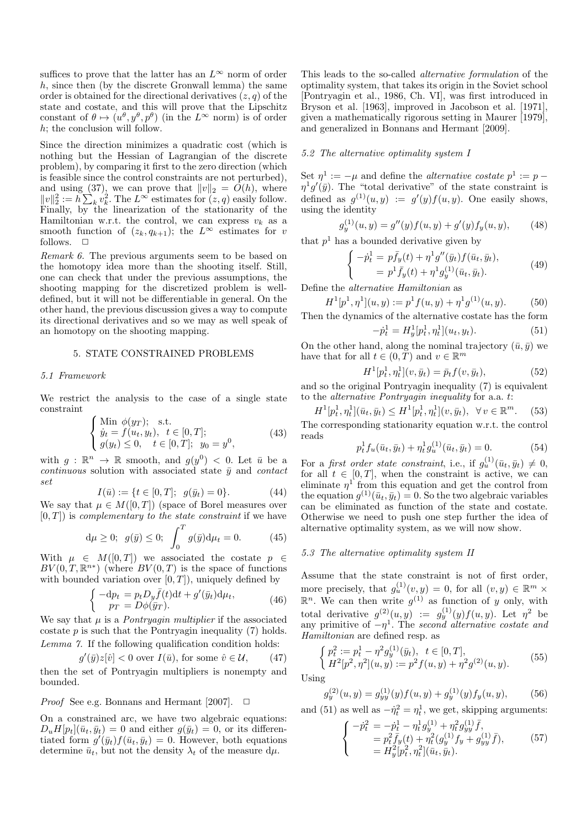suffices to prove that the latter has an  $L^{\infty}$  norm of order h, since then (by the discrete Gronwall lemma) the same order is obtained for the directional derivatives  $(z, q)$  of the state and costate, and this will prove that the Lipschitz constant of  $\theta \mapsto (u^{\theta}, y^{\theta}, p^{\theta})$  (in the  $L^{\infty}$  norm) is of order h; the conclusion will follow.

Since the direction minimizes a quadratic cost (which is nothing but the Hessian of Lagrangian of the discrete problem), by comparing it first to the zero direction (which is feasible since the control constraints are not perturbed), and using (37), we can prove that  $||v||_2 = O(h)$ , where  $||v||_2^2 := h \sum_k v_k^2$ . The  $L^{\infty}$  estimates for  $(z, q)$  easily follow. Finally, by the linearization of the stationarity of the Hamiltonian w.r.t. the control, we can express  $v_k$  as a smooth function of  $(z_k, q_{k+1})$ ; the  $L^{\infty}$  estimates for v follows.  $\Box$ 

Remark 6. The previous arguments seem to be based on the homotopy idea more than the shooting itself. Still, one can check that under the previous assumptions, the shooting mapping for the discretized problem is welldefined, but it will not be differentiable in general. On the other hand, the previous discussion gives a way to compute its directional derivatives and so we may as well speak of an homotopy on the shooting mapping.

#### 5. STATE CONSTRAINED PROBLEMS

#### 5.1 Framework

We restrict the analysis to the case of a single state constraint

$$
\begin{cases}\n\text{Min } \phi(y_T); \quad \text{s.t.} \\
\dot{y}_t = f(u_t, y_t), \quad t \in [0, T]; \\
g(y_t) \le 0, \quad t \in [0, T]; \quad y_0 = y^0,\n\end{cases} \tag{43}
$$

with  $g: \mathbb{R}^n \to \mathbb{R}$  smooth, and  $g(y^0) < 0$ . Let  $\bar{u}$  be a continuous solution with associated state  $\bar{y}$  and contact set

$$
I(\bar{u}) := \{ t \in [0, T]; \ g(\bar{y}_t) = 0 \}.
$$
 (44)

We say that  $\mu \in M([0,T])$  (space of Borel measures over  $[0, T]$ ) is *complementary to the state constraint* if we have

$$
d\mu \ge 0
$$
;  $g(\bar{y}) \le 0$ ;  $\int_0^T g(\bar{y}) d\mu_t = 0.$  (45)

With  $\mu \in M([0,T])$  we associated the costate  $p \in$  $BV(0,T,\mathbb{R}^{n*})$  (where  $BV(0,T)$  is the space of functions with bounded variation over  $[0, T]$ ), uniquely defined by

$$
\begin{cases}\n-\mathrm{d}p_t = p_t D_y \bar{f}(t) \mathrm{d}t + g'(\bar{y}_t) \mathrm{d}\mu_t, \\
p_T = D\phi(\bar{y}_T).\n\end{cases} (46)
$$

We say that  $\mu$  is a *Pontryagin multiplier* if the associated costate  $p$  is such that the Pontryagin inequality  $(7)$  holds. Lemma 7. If the following qualification condition holds:

$$
g'(\bar{y})z[\hat{v}] < 0 \text{ over } I(\bar{u}), \text{ for some } \hat{v} \in \mathcal{U}, \qquad (47)
$$

then the set of Pontryagin multipliers is nonempty and bounded.

*Proof* See e.g. Bonnans and Hermant [2007].  $\Box$ 

On a constrained arc, we have two algebraic equations:  $D_u H[p_t](\bar{u}_t, \bar{y}_t) = 0$  and either  $g(\bar{y}_t) = 0$ , or its differentiated form  $g'(\bar{y}_t) f(\bar{u}_t, \bar{y}_t) = 0$ . However, both equations determine  $\bar{u}_t$ , but not the density  $\lambda_t$  of the measure d $\mu$ .

This leads to the so-called alternative formulation of the optimality system, that takes its origin in the Soviet school [Pontryagin et al., 1986, Ch. VI], was first introduced in Bryson et al. [1963], improved in Jacobson et al. [1971], given a mathematically rigorous setting in Maurer [1979], and generalized in Bonnans and Hermant [2009].

#### 5.2 The alternative optimality system I

Set  $\eta^1 := -\mu$  and define the *alternative costate*  $p^1 := p \eta$ <sup>1</sup>g'( $\bar{y}$ ). The "total derivative" of the state constraint is defined as  $g^{(1)}(u, y) := g'(y) f(u, y)$ . One easily shows, using the identity

$$
g_y^{(1)}(u, y) = g''(y)f(u, y) + g'(y)f_y(u, y), \qquad (48)
$$

that  $p<sup>1</sup>$  has a bounded derivative given by

$$
\begin{cases}\n-p_t^1 = p\bar{f}_y(t) + \eta^1 g''(\bar{y}_t) f(\bar{u}_t, \bar{y}_t), \\
= p^1 \bar{f}_y(t) + \eta^1 g_y^{(1)}(\bar{u}_t, \bar{y}_t).\n\end{cases} (49)
$$

Define the alternative Hamiltonian as

$$
H^{1}[p^{1}, \eta^{1}](u, y) := p^{1} f(u, y) + \eta^{1} g^{(1)}(u, y).
$$
 (50)

Then the dynamics of the alternative costate has the form  $-p_t^1 = H_y^1[p_t^1, \eta_t^1](u_t, y_t).$  (51)

On the other hand, along the nominal trajectory  $(\bar{u}, \bar{y})$  we have that for all  $t \in (0, \tilde{T})$  and  $v \in \mathbb{R}^m$ 

$$
H^{1}[p_{t}^{1}, \eta_{t}^{1}](v, \bar{y}_{t}) = \bar{p}_{t} f(v, \bar{y}_{t}), \qquad (52)
$$

and so the original Pontryagin inequality (7) is equivalent to the alternative Pontryagin inequality for a.a. t:

$$
H^{1}[p_{t}^{1}, \eta_{t}^{1}](\bar{u}_{t}, \bar{y}_{t}) \leq H^{1}[p_{t}^{1}, \eta_{t}^{1}](v, \bar{y}_{t}), \ \forall v \in \mathbb{R}^{m}.
$$
 (53)

The corresponding stationarity equation w.r.t. the control reads

$$
p_t^1 f_u(\bar{u}_t, \bar{y}_t) + \eta_t^1 g_u^{(1)}(\bar{u}_t, \bar{y}_t) = 0.
$$
 (54)

For a first order state constraint, i.e., if  $g_u^{(1)}(\bar{u}_t, \bar{y}_t) \neq 0$ , for all  $t \in [0, T]$ , when the constraint is active, we can eliminate  $\eta^1$  from this equation and get the control from the equation  $g^{(1)}(\bar{u}_t, \bar{y}_t) = 0$ . So the two algebraic variables can be eliminated as function of the state and costate. Otherwise we need to push one step further the idea of alternative optimality system, as we will now show.

# 5.3 The alternative optimality system II

Assume that the state constraint is not of first order, more precisely, that  $g_u^{(1)}(v, y) = 0$ , for all  $(v, y) \in \mathbb{R}^m$  ×  $\mathbb{R}^n$ . We can then write  $g^{(1)}$  as function of y only, with total derivative  $g^{(2)}(u, y) := g^{(1)}_y(y) f(u, y)$ . Let  $\eta^2$  be any primitive of  $-\eta^1$ . The second alternative costate and Hamiltonian are defined resp. as

$$
\begin{cases}\n p_t^2 := p_t^1 - \eta^2 g_y^{(1)}(\bar{y}_t), \quad t \in [0, T], \\
 H^2[p^2, \eta^2](u, y) := p^2 f(u, y) + \eta^2 g^{(2)}(u, y).\n\end{cases} (55)
$$

Using

$$
g_y^{(2)}(u, y) = g_{yy}^{(1)}(y)f(u, y) + g_y^{(1)}(y)f_y(u, y),
$$
 (56)

and (51) as well as  $-\dot{\eta}_t^2 = \eta_t^1$ , we get, skipping arguments:

$$
\begin{cases}\n-p_t^2 = -\dot{p}_t^1 - \eta_t^1 g_y^{(1)} + \eta_t^2 g_{yy}^{(1)} \bar{f}, \n= p_t^2 \bar{f}_y(t) + \eta_t^2 (g_y^{(1)} f_y + g_{yy}^{(1)} \bar{f}), \n= H_y^2 [p_t^2, \eta_t^2] (\bar{u}_t, \bar{y}_t).\n\end{cases}
$$
\n(57)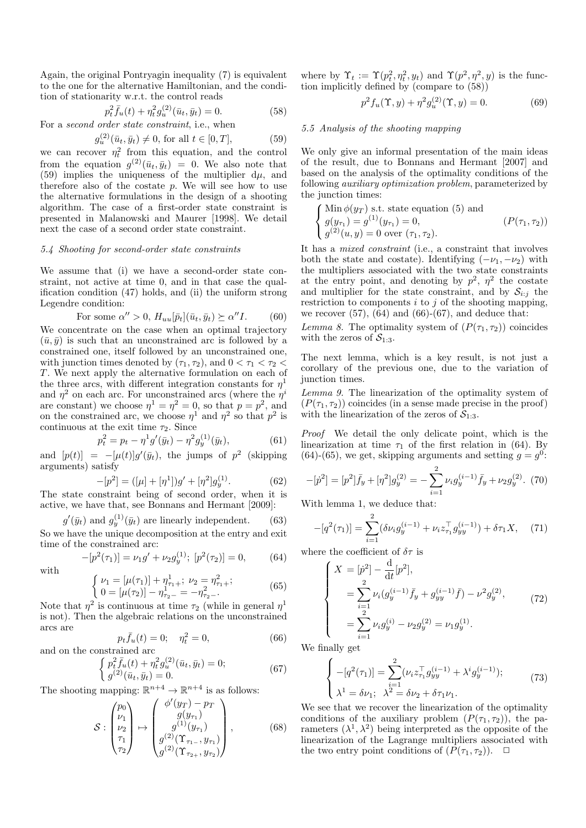Again, the original Pontryagin inequality (7) is equivalent to the one for the alternative Hamiltonian, and the condition of stationarity w.r.t. the control reads

$$
p_t^2 \bar{f}_u(t) + \eta_t^2 g_u^{(2)}(\bar{u}_t, \bar{y}_t) = 0.
$$
 (58)

For a second order state constraint, i.e., when

$$
g_u^{(2)}(\bar{u}_t, \bar{y}_t) \neq 0, \text{ for all } t \in [0, T], \tag{59}
$$

we can recover  $\eta_t^2$  from this equation, and the control from the equation  $g^{(2)}(\bar{u}_t, \bar{y}_t) = 0$ . We also note that (59) implies the uniqueness of the multiplier  $d\mu$ , and therefore also of the costate  $p$ . We will see how to use the alternative formulations in the design of a shooting algorithm. The case of a first-order state constraint is presented in Malanowski and Maurer [1998]. We detail next the case of a second order state constraint.

#### 5.4 Shooting for second-order state constraints

We assume that (i) we have a second-order state constraint, not active at time 0, and in that case the qualification condition (47) holds, and (ii) the uniform strong Legendre condition:

For some 
$$
\alpha'' > 0
$$
,  $H_{uu}[\bar{p}_t](\bar{u}_t, \bar{y}_t) \succeq \alpha'' I$ . (60)

We concentrate on the case when an optimal trajectory  $(\bar{u}, \bar{y})$  is such that an unconstrained arc is followed by a constrained one, itself followed by an unconstrained one, with junction times denoted by  $(\tau_1, \tau_2)$ , and  $0 < \tau_1 < \tau_2 <$ T. We next apply the alternative formulation on each of the three arcs, with different integration constants for  $\eta^1$ and  $\eta^2$  on each arc. For unconstrained arcs (where the  $\eta^i$ are constant) we choose  $\eta^1 = \eta^2 = 0$ , so that  $p = p^2$ , and on the constrained arc, we choose  $\eta^1$  and  $\eta^2$  so that  $p^2$  is continuous at the exit time  $\tau_2$ . Since

$$
p_t^2 = p_t - \eta^1 g'(\bar{y}_t) - \eta^2 g_y^{(1)}(\bar{y}_t),
$$
\n(61)

and  $[p(t)] = -[\mu(t)]g'(\bar{y}_t)$ , the jumps of  $p^2$  (skipping arguments) satisfy

$$
-[p2] = ([\mu] + [\eta1])g' + [\eta2]gy(1).
$$
\n(62)

The state constraint being of second order, when it is active, we have that, see Bonnans and Hermant [2009]:

$$
g'(\bar{y}_t) \text{ and } g_y^{(1)}(\bar{y}_t) \text{ are linearly independent.} \tag{63}
$$

So we have the unique decomposition at the entry and exit time of the constrained arc:

$$
-[p2(\tau1)] = \nu_1 g' + \nu_2 g_y^{(1)}; [p2(\tau2)] = 0,
$$
 (64)

with

$$
\begin{cases}\n\nu_1 = [\mu(\tau_1)] + \eta_{\tau_1+}^1; \ \nu_2 = \eta_{\tau_1+}^2; \\
0 = [\mu(\tau_2)] - \eta_{\tau_2-}^1 = -\eta_{\tau_2-}^2.\n\end{cases} \tag{65}
$$

Note that  $\eta^2$  is continuous at time  $\tau_2$  (while in general  $\eta^1$ is not). Then the algebraic relations on the unconstrained arcs are

$$
p_t \bar{f}_u(t) = 0; \quad \eta_t^2 = 0,
$$
  
ranied arc (66)

and on the constrained arc  
\n
$$
\begin{cases}\n p_t^2 \bar{f}_u(t) + \eta_t^2 g_u^{(2)}(\bar{u}_t, \bar{y}_t) = 0; \\
 g^{(2)}(\bar{u}_t, \bar{y}_t) = 0.\n\end{cases}
$$
\n(67)

The shooting mapping:  $\mathbb{R}^{n+4} \to \mathbb{R}^{n+4}$  is as follows:

$$
S: \begin{pmatrix} p_0 \\ \nu_1 \\ \nu_2 \\ \tau_1 \\ \tau_2 \end{pmatrix} \mapsto \begin{pmatrix} \phi'(y_T) - p_T \\ g(y_{\tau_1}) \\ g^{(1)}(y_{\tau_1}) \\ g^{(2)}(\Upsilon_{\tau_1} , y_{\tau_1}) \\ g^{(2)}(\Upsilon_{\tau_2} , y_{\tau_2}) \end{pmatrix}, \tag{68}
$$

where by  $\Upsilon_t := \Upsilon(p_t^2, \eta_t^2, y_t)$  and  $\Upsilon(p^2, \eta^2, y)$  is the function implicitly defined by (compare to (58))

$$
p^{2} f_{u}(\Upsilon, y) + \eta^{2} g_{u}^{(2)}(\Upsilon, y) = 0.
$$
 (69)

#### 5.5 Analysis of the shooting mapping

We only give an informal presentation of the main ideas of the result, due to Bonnans and Hermant [2007] and based on the analysis of the optimality conditions of the following auxiliary optimization problem, parameterized by the junction times:

$$
\begin{cases}\n\text{Min } \phi(y_T) \text{ s.t. state equation (5) and} \\
g(y_{\tau_1}) = g^{(1)}(y_{\tau_1}) = 0, \\
g^{(2)}(u, y) = 0 \text{ over } (\tau_1, \tau_2).\n\end{cases} (P(\tau_1, \tau_2))
$$

It has a mixed constraint (i.e., a constraint that involves both the state and costate). Identifying  $(-\nu_1, -\nu_2)$  with the multipliers associated with the two state constraints at the entry point, and denoting by  $p^2$ ,  $\eta^2$  the costate and multiplier for the state constraint, and by  $S_{i:j}$  the restriction to components  $i$  to  $j$  of the shooting mapping, we recover (57),  $(64)$  and  $(66)-(67)$ , and deduce that:

Lemma 8. The optimality system of  $(P(\tau_1, \tau_2))$  coincides with the zeros of  $S_{1:3}$ .

The next lemma, which is a key result, is not just a corollary of the previous one, due to the variation of junction times.

Lemma 9. The linearization of the optimality system of  $(P(\tau_1, \tau_2))$  coincides (in a sense made precise in the proof) with the linearization of the zeros of  $S_{1:3}$ .

Proof We detail the only delicate point, which is the linearization at time  $\tau_1$  of the first relation in (64). By (64)-(65), we get, skipping arguments and setting  $g = g^0$ :

$$
-[{\dot p}^2] = [p^2] {\bar f}_y + [\eta^2] g_y^{(2)} = -\sum_{i=1}^2 \nu_i g_y^{(i-1)} {\bar f}_y + \nu_2 g_y^{(2)}.
$$
 (70)

With lemma 1, we deduce that:

$$
-[q^2(\tau_1)] = \sum_{i=1}^2 (\delta \nu_i g_y^{(i-1)} + \nu_i z_{\tau_1}^\top g_{yy}^{(i-1)}) + \delta \tau_1 X, \quad (71)
$$

where the coefficient of  $\delta\tau$  is

$$
\begin{cases}\nX = [\dot{p}^2] - \frac{d}{dt} [p^2], \\
= \sum_{i=1}^2 \nu_i (g_y^{(i-1)} \bar{f}_y + g_{yy}^{(i-1)} \bar{f}) - \nu^2 g_y^{(2)}, \\
= \sum_{i=1}^2 \nu_i g_y^{(i)} - \nu_2 g_y^{(2)} = \nu_1 g_y^{(1)}.\n\end{cases} (72)
$$

We finally get

$$
\begin{cases}\n-[q^2(\tau_1)] = \sum_{i=1}^2 (\nu_i z_{\tau_1}^\top g_{yy}^{(i-1)} + \lambda^i g_y^{(i-1)});\n\\ \lambda^1 = \delta \nu_1; \ \lambda^2 = \delta \nu_2 + \delta \tau_1 \nu_1.\n\end{cases} \tag{73}
$$

We see that we recover the linearization of the optimality conditions of the auxiliary problem  $(P(\tau_1, \tau_2))$ , the parameters  $(\lambda^1, \lambda^2)$  being interpreted as the opposite of the linearization of the Lagrange multipliers associated with the two entry point conditions of  $(P(\tau_1, \tau_2))$ .  $\Box$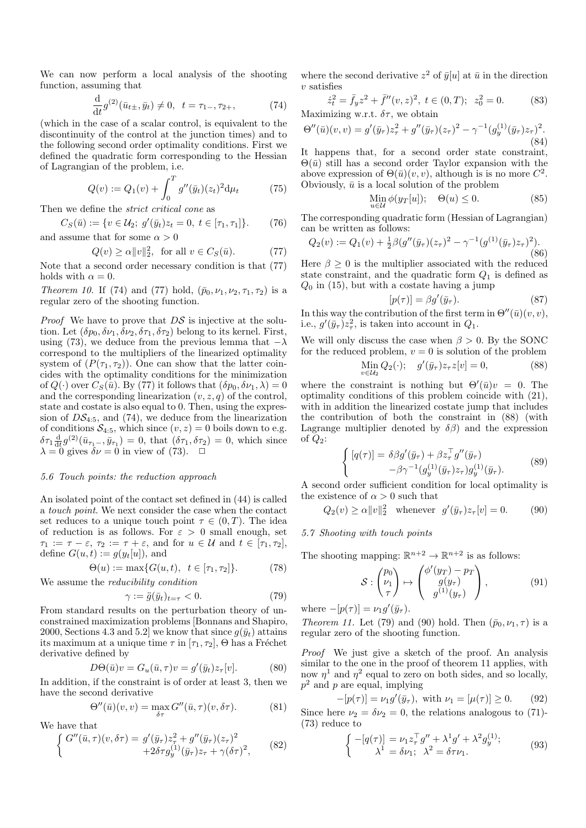We can now perform a local analysis of the shooting function, assuming that

$$
\frac{\mathrm{d}}{\mathrm{d}t}g^{(2)}(\bar{u}_{t\pm},\bar{y}_t) \neq 0, \ \ t = \tau_{1-},\tau_{2+},\tag{74}
$$

(which in the case of a scalar control, is equivalent to the discontinuity of the control at the junction times) and to the following second order optimality conditions. First we defined the quadratic form corresponding to the Hessian of Lagrangian of the problem, i.e.

$$
Q(v) := Q_1(v) + \int_0^T g''(\bar{y}_t)(z_t)^2 d\mu_t \tag{75}
$$

Then we define the strict critical cone as

$$
C_S(\bar{u}) := \{ v \in \mathcal{U}_2; \ g'(\bar{y}_t)z_t = 0, \ t \in [\tau_1, \tau_1] \}. \tag{76}
$$
  
and assume that for some  $\alpha > 0$ 

$$
Q(v) \ge \alpha ||v||_2^2, \text{ for all } v \in C_S(\bar{u}).
$$
 (77)

Note that a second order necessary condition is that (77) holds with  $\alpha = 0$ .

Theorem 10. If (74) and (77) hold,  $(\bar{p}_0, \nu_1, \nu_2, \tau_1, \tau_2)$  is a regular zero of the shooting function.

*Proof* We have to prove that  $DS$  is injective at the solution. Let  $(\delta p_0, \delta \nu_1, \delta \nu_2, \delta \tau_1, \delta \tau_2)$  belong to its kernel. First, using (73), we deduce from the previous lemma that  $-\lambda$ correspond to the multipliers of the linearized optimality system of  $(P(\tau_1, \tau_2))$ . One can show that the latter coincides with the optimality conditions for the minimization of  $Q(\cdot)$  over  $C_S(\bar{u})$ . By (77) it follows that  $(\delta p_0, \delta \nu_1, \lambda) = 0$ and the corresponding linearization  $(v, z, q)$  of the control, state and costate is also equal to 0. Then, using the expression of  $DS_{4:5}$ , and (74), we deduce from the linearization of conditions  $S_{4:5}$ , which since  $(v, z) = 0$  boils down to e.g.  $\delta\tau_1\frac{d}{dt}g^{(2)}(\bar{u}_{\tau_1-}, \bar{y}_{\tau_1})=0$ , that  $(\delta\tau_1, \delta\tau_2)=0$ , which since  $\lambda = 0$  gives  $\delta \nu = 0$  in view of (73).  $\Box$ 

# 5.6 Touch points: the reduction approach

An isolated point of the contact set defined in (44) is called a touch point. We next consider the case when the contact set reduces to a unique touch point  $\tau \in (0, T)$ . The idea of reduction is as follows. For  $\varepsilon > 0$  small enough, set  $\tau_1 := \tau - \varepsilon$ ,  $\tau_2 := \tau + \varepsilon$ , and for  $u \in \mathcal{U}$  and  $t \in [\tau_1, \tau_2]$ , define  $G(u, t) := g(y_t[u])$ , and

$$
\Theta(u) := \max\{G(u, t), \ t \in [\tau_1, \tau_2]\}.
$$
 (78)

We assume the reducibility condition

$$
\gamma := \ddot{g}(\bar{y}_t)_{t=\tau} < 0. \tag{79}
$$

From standard results on the perturbation theory of unconstrained maximization problems [Bonnans and Shapiro, 2000, Sections 4.3 and 5.2] we know that since  $q(\bar{y}_t)$  attains its maximum at a unique time  $\tau$  in  $[\tau_1, \tau_2]$ ,  $\Theta$  has a Fréchet derivative defined by

$$
D\Theta(\bar{u})v = G_u(\bar{u}, \tau)v = g'(\bar{y}_t)z_{\tau}[v].
$$
 (80)

In addition, if the constraint is of order at least 3, then we have the second derivative

$$
\Theta''(\bar{u})(v,v) = \max_{\delta \tau} G''(\bar{u},\tau)(v,\delta \tau). \tag{81}
$$

We have that

$$
\begin{cases} G''(\bar{u}, \tau)(v, \delta \tau) = g'(\bar{y}_{\tau}) z_{\tau}^2 + g''(\bar{y}_{\tau})(z_{\tau})^2 \\ +2 \delta \tau g_y^{(1)}(\bar{y}_{\tau}) z_{\tau} + \gamma (\delta \tau)^2, \end{cases} (82)
$$

where the second derivative  $z^2$  of  $\bar{y}[u]$  at  $\bar{u}$  in the direction  $v$  satisfies

$$
\dot{z}_t^2 = \bar{f}_y z^2 + \bar{f}''(v, z)^2, \ t \in (0, T); \ z_0^2 = 0.
$$
 (83)  
Maximizing w.r.t.  $\delta \tau$ , we obtain

$$
\Theta''(\bar{u})(v,v) = g'(\bar{y}_\tau)z_\tau^2 + g''(\bar{y}_\tau)(z_\tau)^2 - \gamma^{-1}(g_y^{(1)}(\bar{y}_\tau)z_\tau)^2.
$$
\n(84)

It happens that, for a second order state constraint,  $\Theta(\bar{u})$  still has a second order Taylor expansion with the above expression of  $\Theta(\bar{u})(v, v)$ , although is is no more  $C^2$ . Obviously,  $\bar{u}$  is a local solution of the problem

$$
\underset{u \in \mathcal{U}}{\text{Min}} \phi(y_T[u]); \quad \Theta(u) \le 0. \tag{85}
$$

The corresponding quadratic form (Hessian of Lagrangian) can be written as follows:

$$
Q_2(v) := Q_1(v) + \frac{1}{2}\beta(g''(\bar{y}_\tau)(z_\tau)^2 - \gamma^{-1}(g^{(1)}(\bar{y}_\tau)z_\tau)^2).
$$
\n(86)

Here  $\beta > 0$  is the multiplier associated with the reduced state constraint, and the quadratic form  $Q_1$  is defined as  $Q_0$  in (15), but with a costate having a jump

$$
[p(\tau)] = \beta g'(\bar{y}_{\tau}).\tag{87}
$$

In this way the contribution of the first term in  $\Theta''(\bar{u})(v, v)$ , i.e.,  $g'(\bar{y}_\tau)z_\tau^2$ , is taken into account in  $Q_1$ .

We will only discuss the case when  $\beta > 0$ . By the SONC for the reduced problem,  $v = 0$  is solution of the problem

$$
\lim_{v \in \mathcal{U}_2} Q_2(\cdot); \quad g'(\bar{y}_\tau) z_\tau z[v] = 0,\tag{88}
$$

where the constraint is nothing but  $\Theta'(\bar{u})v = 0$ . The optimality conditions of this problem coincide with (21), with in addition the linearized costate jump that includes the contribution of both the constraint in (88) (with Lagrange multiplier denoted by  $\delta\beta$  and the expression of  $Q_2$ :

$$
\begin{cases}\n[q(\tau)] = \delta \beta g'(\bar{y}_\tau) + \beta z_\tau^\top g''(\bar{y}_\tau) \\
-\beta \gamma^{-1} (g_y^{(1)}(\bar{y}_\tau) z_\tau) g_y^{(1)}(\bar{y}_\tau).\n\end{cases} (89)
$$

A second order sufficient condition for local optimality is the existence of  $\alpha > 0$  such that

$$
Q_2(v) \ge \alpha ||v||_2^2 \quad \text{whenever} \quad g'(\bar{y}_\tau) z_\tau[v] = 0. \tag{90}
$$

# 5.7 Shooting with touch points

The shooting mapping:  $\mathbb{R}^{n+2} \to \mathbb{R}^{n+2}$  is as follows:

$$
\mathcal{S}: \begin{pmatrix} p_0 \\ \nu_1 \\ \tau \end{pmatrix} \mapsto \begin{pmatrix} \phi'(y_T) - p_T \\ g(y_\tau) \\ g^{(1)}(y_\tau) \end{pmatrix}, \tag{91}
$$

where  $-[p(\tau)] = \nu_1 g'(\bar{y}_\tau).$ 

Theorem 11. Let (79) and (90) hold. Then  $(\bar{p}_0, \nu_1, \tau)$  is a regular zero of the shooting function.

Proof We just give a sketch of the proof. An analysis similar to the one in the proof of theorem 11 applies, with now  $\eta^1$  and  $\eta^2$  equal to zero on both sides, and so locally,  $p^2$  and p are equal, implying

$$
-[p(\tau)] = \nu_1 g'(\bar{y}_{\tau}), \text{ with } \nu_1 = [\mu(\tau)] \ge 0. \quad (92)
$$

Since here  $\nu_2 = \delta \nu_2 = 0$ , the relations analogous to (71)-(73) reduce to

$$
\begin{cases}\n-[q(\tau)] = \nu_1 z_\tau^\top g'' + \lambda^1 g' + \lambda^2 g_y^{(1)}; \\
\lambda^1 = \delta \nu_1; \ \lambda^2 = \delta \tau \nu_1.\n\end{cases} \tag{93}
$$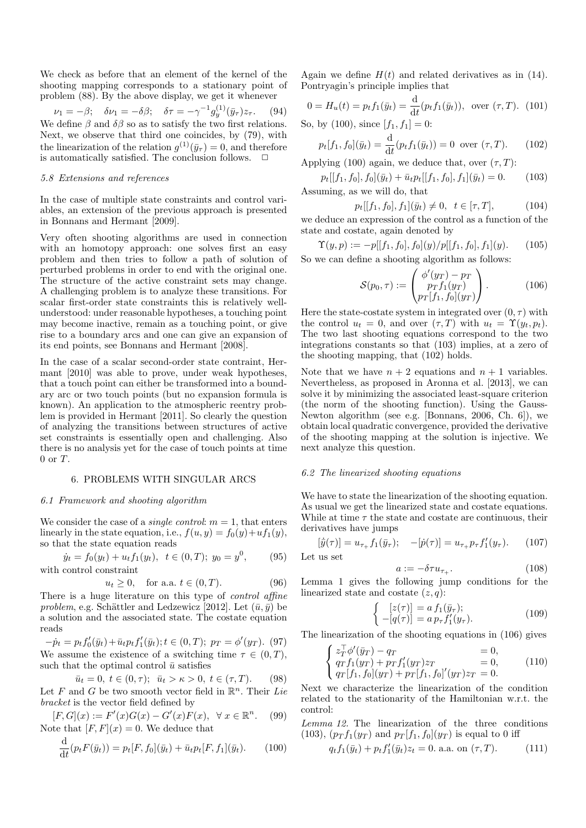We check as before that an element of the kernel of the shooting mapping corresponds to a stationary point of problem (88). By the above display, we get it whenever

$$
\nu_1 = -\beta; \quad \delta\nu_1 = -\delta\beta; \quad \delta\tau = -\gamma^{-1}g_y^{(1)}(\bar{y}_\tau)z_\tau. \quad (94)
$$
  
We define  $\beta$  and  $\delta\beta$  so as to satisfy the two first relations.  
Next, we observe that third one coincides, by (79), with  
the linearization of the relation  $g^{(1)}(\bar{y}_\tau) = 0$ , and therefore  
is automatically satisfied. The conclusion follows.  $\Box$ 

### 5.8 Extensions and references

In the case of multiple state constraints and control variables, an extension of the previous approach is presented in Bonnans and Hermant [2009].

Very often shooting algorithms are used in connection with an homotopy approach: one solves first an easy problem and then tries to follow a path of solution of perturbed problems in order to end with the original one. The structure of the active constraint sets may change. A challenging problem is to analyze these transitions. For scalar first-order state constraints this is relatively wellunderstood: under reasonable hypotheses, a touching point may become inactive, remain as a touching point, or give rise to a boundary arcs and one can give an expansion of its end points, see Bonnans and Hermant [2008].

In the case of a scalar second-order state contraint, Hermant [2010] was able to prove, under weak hypotheses, that a touch point can either be transformed into a boundary arc or two touch points (but no expansion formula is known). An application to the atmospheric reentry problem is provided in Hermant [2011]. So clearly the question of analyzing the transitions between structures of active set constraints is essentially open and challenging. Also there is no analysis yet for the case of touch points at time  $0$  or  $T$ .

# 6. PROBLEMS WITH SINGULAR ARCS

#### 6.1 Framework and shooting algorithm

We consider the case of a *single control:*  $m = 1$ , that enters linearly in the state equation, i.e.,  $f(u, y) = f_0(y) + uf_1(y)$ , so that the state equation reads

$$
\dot{y}_t = f_0(y_t) + u_t f_1(y_t), \ \ t \in (0, T); \ y_0 = y^0,
$$
 (95)  
with control constraint

$$
u_t \ge 0
$$
, for a.a.  $t \in (0, T)$ . (96)

There is a huge literature on this type of *control affine* problem, e.g. Schättler and Ledzewicz [2012]. Let  $(\bar{u}, \bar{y})$  be a solution and the associated state. The costate equation reads

$$
-\dot{p}_t = p_t f'_0(\bar{y}_t) + \bar{u}_t p_t f'_1(\bar{y}_t); t \in (0, T); \ p_T = \phi'(y_T). \tag{97}
$$

We assume the existence of a switching time  $\tau \in (0, T)$ , such that the optimal control  $\bar{u}$  satisfies

$$
\bar{u}_t = 0, \ t \in (0, \tau); \ \bar{u}_t > \kappa > 0, \ t \in (\tau, T). \tag{98}
$$

Let F and G be two smooth vector field in  $\mathbb{R}^n$ . Their Lie bracket is the vector field defined by

$$
[F, G](x) := F'(x)G(x) - G'(x)F(x), \quad \forall x \in \mathbb{R}^n. \tag{99}
$$
  
Note that  $[F, F](x) = 0$ . We deduce that

$$
\frac{\mathrm{d}}{\mathrm{d}t}(p_t F(\bar{y}_t)) = p_t[F, f_0](\bar{y}_t) + \bar{u}_t p_t[F, f_1](\bar{y}_t). \tag{100}
$$

Again we define  $H(t)$  and related derivatives as in (14). Pontryagin's principle implies that

$$
0 = H_u(t) = p_t f_1(\bar{y}_t) = \frac{d}{dt} (p_t f_1(\bar{y}_t)), \text{ over } (\tau, T). \tag{101}
$$

So, by (100), since  $[f_1, f_1] = 0$ :

$$
p_t[f_1, f_0](\bar{y}_t) = \frac{\mathrm{d}}{\mathrm{d}t}(p_t f_1(\bar{y}_t)) = 0 \text{ over } (\tau, T). \tag{102}
$$

Applying (100) again, we deduce that, over  $(\tau, T)$ :

$$
p_t[[f_1, f_0], f_0](\bar{y}_t) + \bar{u}_t p_t[[f_1, f_0], f_1](\bar{y}_t) = 0.
$$
 (103)  
Assuming, as we will do, that

$$
p_t[[f_1, f_0], f_1](\bar{y}_t) \neq 0, \ \ t \in [\tau, T], \tag{104}
$$

we deduce an expression of the control as a function of the state and costate, again denoted by

$$
\Upsilon(y, p) := -p[[f_1, f_0], f_0](y)/p[[f_1, f_0], f_1](y). \tag{105}
$$

So we can define a shooting algorithm as follows:

$$
S(p_0, \tau) := \begin{pmatrix} \phi'(y_T) - p_T \\ p_T f_1(y_T) \\ p_T[f_1, f_0](y_T) \end{pmatrix} . \tag{106}
$$

Here the state-costate system in integrated over  $(0, \tau)$  with the control  $u_t = 0$ , and over  $(\tau, T)$  with  $u_t = \Upsilon(y_t, p_t)$ . The two last shooting equations correspond to the two integrations constants so that (103) implies, at a zero of the shooting mapping, that (102) holds.

Note that we have  $n + 2$  equations and  $n + 1$  variables. Nevertheless, as proposed in Aronna et al. [2013], we can solve it by minimizing the associated least-square criterion (the norm of the shooting function). Using the Gauss-Newton algorithm (see e.g. [Bonnans, 2006, Ch. 6]), we obtain local quadratic convergence, provided the derivative of the shooting mapping at the solution is injective. We next analyze this question.

### 6.2 The linearized shooting equations

We have to state the linearization of the shooting equation. As usual we get the linearized state and costate equations. While at time  $\tau$  the state and costate are continuous, their derivatives have jumps

$$
[\dot{\bar{y}}(\tau)] = u_{\tau+} f_1(\bar{y}_{\tau}); \quad -[\dot{p}(\tau)] = u_{\tau+} p_{\tau} f'_1(y_{\tau}). \quad (107)
$$

Let us set

$$
\tag{108}
$$

 $a := -\delta \tau u_{\tau+1}$ Lemma 1 gives the following jump conditions for the linearized state and costate  $(z, q)$ :

$$
\begin{cases}\n[z(\tau)] = a f_1(\bar{y}_\tau); \\
-[q(\tau)] = a p_\tau f'_1(y_\tau).\n\end{cases}
$$
\n(109)

The linearization of the shooting equations in (106) gives

$$
\begin{cases}\n z_T^\top \phi'(\bar{y}_T) - q_T &= 0, \\
 q_T f_1(y_T) + p_T f_1'(y_T) z_T &= 0, \\
 q_T[f_1, f_0](y_T) + p_T[f_1, f_0]'(y_T) z_T &= 0.\n\end{cases} (110)
$$

Next we characterize the linearization of the condition related to the stationarity of the Hamiltonian w.r.t. the control:

Lemma 12. The linearization of the three conditions (103),  $(p_T f_1(y_T)$  and  $p_T[f_1, f_0](y_T)$  is equal to 0 iff

$$
q_t f_1(\bar{y}_t) + p_t f'_1(\bar{y}_t) z_t = 0.
$$
 a.a. on  $(\tau, T)$ . (111)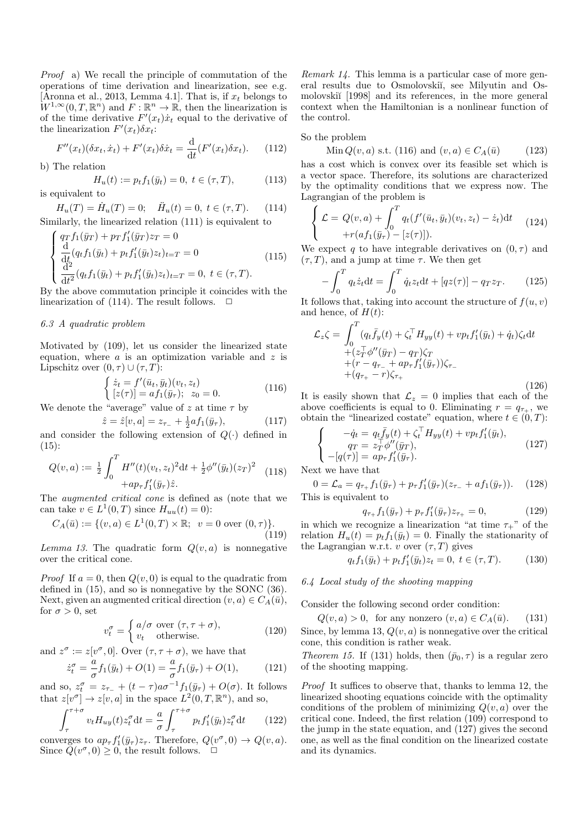Proof a) We recall the principle of commutation of the operations of time derivation and linearization, see e.g. [Aronna et al., 2013, Lemma 4.1]. That is, if  $x_t$  belongs to  $W^{1,\infty}(0,T,\mathbb{R}^n)$  and  $F:\mathbb{R}^n\to\mathbb{R}$ , then the linearization is of the time derivative  $F'(x_t)\dot{x}_t$  equal to the derivative of the linearization  $F'(x_t)\delta x_t$ :

$$
F''(x_t)(\delta x_t, \dot{x}_t) + F'(x_t)\delta \dot{x}_t = \frac{\mathrm{d}}{\mathrm{d}t}(F'(x_t)\delta x_t). \tag{112}
$$

b) The relation

$$
H_u(t) := p_t f_1(\bar{y}_t) = 0, \ t \in (\tau, T), \tag{113}
$$

is equivalent to

 $H_u(T) = \dot{H}_u(T) = 0; \quad \ddot{H}_u(t) = 0, \ t \in (\tau, T).$  (114) Similarly, the linearized relation (111) is equivalent to

$$
\begin{cases}\nqrf_1(\bar{y}_T) + prf'_1(\bar{y}_T)z_T = 0\\ \n\frac{d}{dt}(q_tf_1(\bar{y}_t) + ptf'_1(\bar{y}_t)z_t)_{t=T} = 0\\ \n\frac{d^2}{dt^2}(q_tf_1(\bar{y}_t) + ptf'_1(\bar{y}_t)z_t)_{t=T} = 0, \ t \in (\tau, T).\n\end{cases}
$$
\n(115)

By the above commutation principle it coincides with the linearization of (114). The result follows.  $\Box$ 

# 6.3 A quadratic problem

Motivated by (109), let us consider the linearized state equation, where  $a$  is an optimization variable and  $z$  is Lipschitz over  $(0, \tau) \cup (\tau, T)$ :

$$
\begin{cases} \n\dot{z}_t = f'(\bar{u}_t, \bar{y}_t)(v_t, z_t) \\
[z(\tau)] = a f_1(\bar{y}_\tau); \ z_0 = 0.\n\end{cases} \tag{116}
$$

We denote the "average" value of z at time  $\tau$  by

$$
\hat{z} = \hat{z}[v, a] = z_{\tau_{-}} + \frac{1}{2}af_1(\bar{y}_{\tau}), \tag{117}
$$

and consider the following extension of  $Q(\cdot)$  defined in  $(15)$ :

$$
Q(v, a) := \frac{1}{2} \int_0^T H''(t)(v_t, z_t)^2 dt + \frac{1}{2} \phi''(\bar{y}_t) (z_T)^2 \quad (118)
$$

$$
+ ap_\tau f'_1(\bar{y}_\tau) \hat{z}.
$$

The augmented critical cone is defined as (note that we can take  $v \in L^1(0,T)$  since  $H_{uu}(t) = 0$ :

$$
C_A(\bar{u}) := \{ (v, a) \in L^1(0, T) \times \mathbb{R}; \ \ v = 0 \text{ over } (0, \tau) \}. \tag{119}
$$

Lemma 13. The quadratic form  $Q(v, a)$  is nonnegative over the critical cone.

*Proof* If  $a = 0$ , then  $Q(v, 0)$  is equal to the quadratic from defined in (15), and so is nonnegative by the SONC (36). Next, given an augmented critical direction  $(v, a) \in C_A(\bar{u}),$ for  $\sigma > 0$ , set

$$
v_t^{\sigma} = \begin{cases} a/\sigma \text{ over } (\tau, \tau + \sigma), \\ v_t \text{ otherwise.} \end{cases}
$$
 (120)

and  $z^{\sigma} := z[v^{\sigma}, 0]$ . Over  $(\tau, \tau + \sigma)$ , we have that

$$
\dot{z}_t^{\sigma} = -\frac{a}{\sigma} f_1(\bar{y}_t) + O(1) = -\frac{a}{\sigma} f_1(\bar{y}_\tau) + O(1), \quad (121)
$$

and so,  $z_t^{\sigma} = z_{\tau-} + (t-\tau)a\sigma^{-1}f_1(\bar{y}_{\tau}) + O(\sigma)$ . It follows that  $z[v^{\sigma}] \to z[v, a]$  in the space  $L^2(0,T,\mathbb{R}^n)$ , and so,

$$
\int_{\tau}^{\tau+\sigma} v_t H_{uy}(t) z_t^{\sigma} dt = \frac{a}{\sigma} \int_{\tau}^{\tau+\sigma} p_t f_1'(\bar{y}_t) z_t^{\sigma} dt \qquad (122)
$$

converges to  $ap_\tau f'_1(\bar{y}_\tau)z_\tau$ . Therefore,  $Q(v^\sigma, 0) \to Q(v, a)$ . Since  $\tilde{Q}(v^{\sigma},0) \geq 0$ , the result follows.  $\Box$ 

Remark 14. This lemma is a particular case of more general results due to Osmolovski<sup> $\tilde{u}$ </sup>, see Milyutin and Osmolovskii<sup>[1998]</sup> and its references, in the more general context when the Hamiltonian is a nonlinear function of the control.

#### So the problem

Min  $Q(v, a)$  s.t. (116) and  $(v, a) \in C_A(\bar{u})$  (123) has a cost which is convex over its feasible set which is a vector space. Therefore, its solutions are characterized by the optimality conditions that we express now. The Lagrangian of the problem is

$$
\begin{cases}\n\mathcal{L} = Q(v, a) + \int_0^T q_t(f'(\bar{u}_t, \bar{y}_t)(v_t, z_t) - \dot{z}_t) dt \\
+ r(af_1(\bar{y}_\tau) - [z(\tau)]).\n\end{cases}
$$
\n(124)

We expect q to have integrable derivatives on  $(0, \tau)$  and  $(\tau, T)$ , and a jump at time  $\tau$ . We then get

$$
-\int_0^T q_t \dot{z}_t dt = \int_0^T \dot{q}_t z_t dt + [qz(\tau)] - q_T z_T.
$$
 (125)

It follows that, taking into account the structure of  $f(u, v)$ and hence, of  $H(t)$ :

$$
\mathcal{L}_{z}\zeta = \int_{0}^{T} (q_{t}\bar{f}_{y}(t) + \zeta_{t}^{\top}H_{yy}(t) + vp_{t}f_{1}'(\bar{y}_{t}) + \dot{q}_{t})\zeta_{t}dt \n+ (z_{T}^{\top}\phi''(\bar{y}_{T}) - q_{T})\zeta_{T} \n+ (r - q_{\tau_{-}} + ap_{\tau}f_{1}'(\bar{y}_{\tau}))\zeta_{\tau_{-}} \n+ (q_{\tau_{+}} - r)\zeta_{\tau_{+}} \qquad (126)
$$

It is easily shown that  $\mathcal{L}_z = 0$  implies that each of the above coefficients is equal to 0. Eliminating  $r = q_{\tau_{+}}$ , we obtain the "linearized costate" equation, where  $t \in (0, T)$ :

$$
\begin{cases}\n-\dot{q}_t = q_t \bar{f}_y(t) + \zeta_t^\top H_{yy}(t) + v p_t f_1'(\bar{y}_t), \\
q_T = z_T^\top \phi''(\bar{y}_T), \\
-[q(\tau)] = a p_\tau f_1'(\bar{y}_\tau).\n\end{cases}
$$
\n(127)

Next we have that

 $0 = \mathcal{L}_a = q_{\tau_+} f_1(\bar{y}_\tau) + p_\tau f'_1(\bar{y}_\tau) (z_{\tau_-} + af_1(\bar{y}_\tau)).$  (128) This is equivalent to

$$
q_{\tau+} f_1(\bar{y}_{\tau}) + p_{\tau} f'_1(\bar{y}_{\tau}) z_{\tau+} = 0, \qquad (129)
$$

in which we recognize a linearization "at time  $\tau_{+}$ " of the relation  $H_u(t) = p_t f_1(\bar{y}_t) = 0$ . Finally the stationarity of the Lagrangian w.r.t. v over  $(\tau, T)$  gives

$$
q_t f_1(\bar{y}_t) + p_t f'_1(\bar{y}_t) z_t = 0, \ t \in (\tau, T). \tag{130}
$$

### 6.4 Local study of the shooting mapping

Consider the following second order condition:

$$
Q(v, a) > 0
$$
, for any nonzero  $(v, a) \in C_A(\bar{u})$ . (131)  
Since, by lemma 13,  $Q(v, a)$  is nonnegative over the critical

cone, this condition is rather weak.

Theorem 15. If (131) holds, then  $(\bar{p}_0, \tau)$  is a regular zero of the shooting mapping.

Proof It suffices to observe that, thanks to lemma 12, the linearized shooting equations coincide with the optimality conditions of the problem of minimizing  $Q(v, a)$  over the critical cone. Indeed, the first relation (109) correspond to the jump in the state equation, and (127) gives the second one, as well as the final condition on the linearized costate and its dynamics.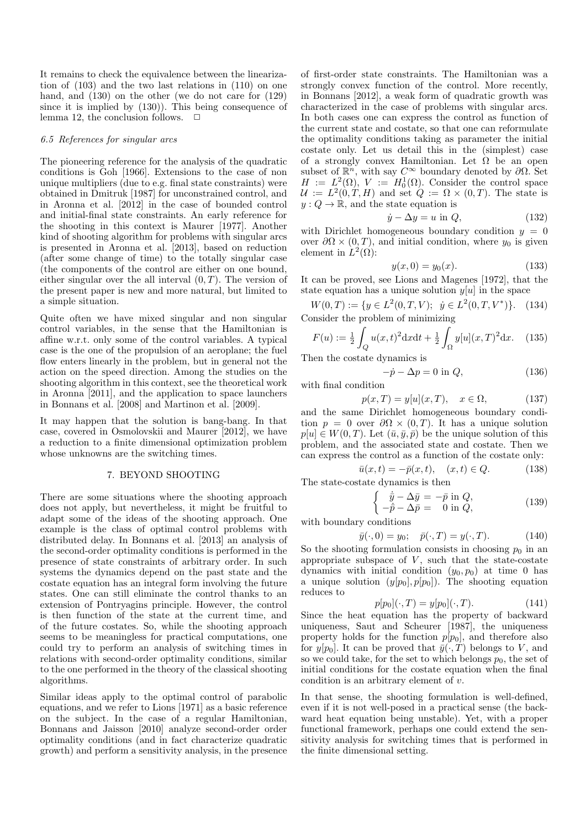It remains to check the equivalence between the linearization of (103) and the two last relations in (110) on one hand, and (130) on the other (we do not care for (129) since it is implied by (130)). This being consequence of lemma 12, the conclusion follows.  $\Box$ 

#### 6.5 References for singular arcs

The pioneering reference for the analysis of the quadratic conditions is Goh [1966]. Extensions to the case of non unique multipliers (due to e.g. final state constraints) were obtained in Dmitruk [1987] for unconstrained control, and in Aronna et al. [2012] in the case of bounded control and initial-final state constraints. An early reference for the shooting in this context is Maurer [1977]. Another kind of shooting algorithm for problems with singular arcs is presented in Aronna et al. [2013], based on reduction (after some change of time) to the totally singular case (the components of the control are either on one bound, either singular over the all interval  $(0, T)$ . The version of the present paper is new and more natural, but limited to a simple situation.

Quite often we have mixed singular and non singular control variables, in the sense that the Hamiltonian is affine w.r.t. only some of the control variables. A typical case is the one of the propulsion of an aeroplane; the fuel flow enters linearly in the problem, but in general not the action on the speed direction. Among the studies on the shooting algorithm in this context, see the theoretical work in Aronna [2011], and the application to space launchers in Bonnans et al. [2008] and Martinon et al. [2009].

It may happen that the solution is bang-bang. In that case, covered in Osmolovskii and Maurer [2012], we have a reduction to a finite dimensional optimization problem whose unknowns are the switching times.

# 7. BEYOND SHOOTING

There are some situations where the shooting approach does not apply, but nevertheless, it might be fruitful to adapt some of the ideas of the shooting approach. One example is the class of optimal control problems with distributed delay. In Bonnans et al. [2013] an analysis of the second-order optimality conditions is performed in the presence of state constraints of arbitrary order. In such systems the dynamics depend on the past state and the costate equation has an integral form involving the future states. One can still eliminate the control thanks to an extension of Pontryagins principle. However, the control is then function of the state at the current time, and of the future costates. So, while the shooting approach seems to be meaningless for practical computations, one could try to perform an analysis of switching times in relations with second-order optimality conditions, similar to the one performed in the theory of the classical shooting algorithms.

Similar ideas apply to the optimal control of parabolic equations, and we refer to Lions [1971] as a basic reference on the subject. In the case of a regular Hamiltonian, Bonnans and Jaisson [2010] analyze second-order order optimality conditions (and in fact characterize quadratic growth) and perform a sensitivity analysis, in the presence of first-order state constraints. The Hamiltonian was a strongly convex function of the control. More recently, in Bonnans [2012], a weak form of quadratic growth was characterized in the case of problems with singular arcs. In both cases one can express the control as function of the current state and costate, so that one can reformulate the optimality conditions taking as parameter the initial costate only. Let us detail this in the (simplest) case of a strongly convex Hamiltonian. Let  $\Omega$  be an open subset of  $\mathbb{R}^n$ , with say  $C^{\infty}$  boundary denoted by  $\partial\Omega$ . Set  $H := L^2(\Omega), V := H_0^1(\Omega)$ . Consider the control space  $\mathcal{U} := L^2(0,T,H)$  and set  $Q := \Omega \times (0,T)$ . The state is  $y: Q \to \mathbb{R}$ , and the state equation is

$$
\dot{y} - \Delta y = u \text{ in } Q,\tag{132}
$$

with Dirichlet homogeneous boundary condition  $y = 0$ over  $\partial\Omega \times (0,T)$ , and initial condition, where  $y_0$  is given element in  $L^2(\Omega)$ :

$$
y(x,0) = y_0(x). \t(133)
$$

It can be proved, see Lions and Magenes [1972], that the state equation has a unique solution  $y[u]$  in the space

$$
W(0,T) := \{ y \in L^2(0,T,V); \ \dot{y} \in L^2(0,T,V^*) \}. \tag{134}
$$
  
Consider the problem of minimizing

$$
F(u) := \frac{1}{2} \int_{Q} u(x, t)^2 dx dt + \frac{1}{2} \int_{\Omega} y[u](x, T)^2 dx.
$$
 (135)

Then the costate dynamics is

$$
-\dot{p} - \Delta p = 0 \text{ in } Q,\tag{136}
$$

with final condition

$$
p(x,T) = y[u](x,T), \quad x \in \Omega,
$$
\n(137)

and the same Dirichlet homogeneous boundary condition  $p = 0$  over  $\partial \Omega \times (0, T)$ . It has a unique solution  $p[u] \in W(0,T)$ . Let  $(\bar{u}, \bar{y}, \bar{p})$  be the unique solution of this problem, and the associated state and costate. Then we can express the control as a function of the costate only:

$$
\bar{u}(x,t) = -\bar{p}(x,t), \quad (x,t) \in Q.
$$
 (138)

The state-costate dynamics is then

$$
\begin{cases}\n\dot{\bar{y}} - \Delta \bar{y} = -\bar{p} \text{ in } Q, \\
-\bar{p} - \Delta \bar{p} = 0 \text{ in } Q,\n\end{cases}
$$
\n(139)

with boundary conditions

$$
\bar{y}(\cdot,0) = y_0; \quad \bar{p}(\cdot,T) = y(\cdot,T).
$$
 (140)

So the shooting formulation consists in choosing  $p_0$  in an appropriate subspace of  $V$ , such that the state-costate dynamics with initial condition  $(y_0, p_0)$  at time 0 has a unique solution  $(y[p_0], p[p_0])$ . The shooting equation reduces to

$$
p[p_0](\cdot, T) = y[p_0](\cdot, T). \tag{141}
$$

Since the heat equation has the property of backward uniqueness, Saut and Scheurer [1987], the uniqueness property holds for the function  $p[p_0]$ , and therefore also for  $y[p_0]$ . It can be proved that  $\bar{y}(\cdot, T)$  belongs to V, and so we could take, for the set to which belongs  $p_0$ , the set of initial conditions for the costate equation when the final condition is an arbitrary element of  $v$ .

In that sense, the shooting formulation is well-defined, even if it is not well-posed in a practical sense (the backward heat equation being unstable). Yet, with a proper functional framework, perhaps one could extend the sensitivity analysis for switching times that is performed in the finite dimensional setting.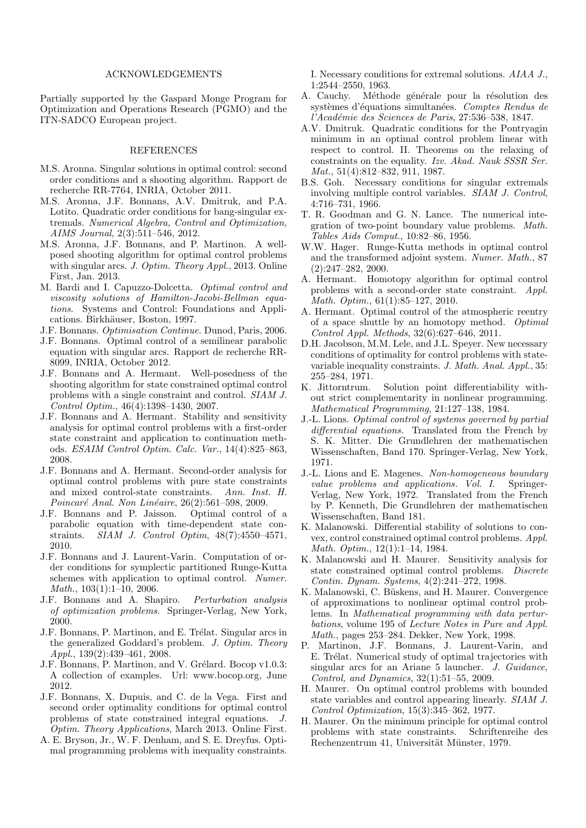# ACKNOWLEDGEMENTS

Partially supported by the Gaspard Monge Program for Optimization and Operations Research (PGMO) and the ITN-SADCO European project.

# REFERENCES

- M.S. Aronna. Singular solutions in optimal control: second order conditions and a shooting algorithm. Rapport de recherche RR-7764, INRIA, October 2011.
- M.S. Aronna, J.F. Bonnans, A.V. Dmitruk, and P.A. Lotito. Quadratic order conditions for bang-singular extremals. Numerical Algebra, Control and Optimization, AIMS Journal, 2(3):511–546, 2012.
- M.S. Aronna, J.F. Bonnans, and P. Martinon. A wellposed shooting algorithm for optimal control problems with singular arcs. J. Optim. Theory Appl., 2013. Online First, Jan. 2013.
- M. Bardi and I. Capuzzo-Dolcetta. Optimal control and viscosity solutions of Hamilton-Jacobi-Bellman equations. Systems and Control: Foundations and Applications. Birkhäuser, Boston, 1997.
- J.F. Bonnans. Optimisation Continue. Dunod, Paris, 2006.
- J.F. Bonnans. Optimal control of a semilinear parabolic equation with singular arcs. Rapport de recherche RR-8099, INRIA, October 2012.
- J.F. Bonnans and A. Hermant. Well-posedness of the shooting algorithm for state constrained optimal control problems with a single constraint and control. SIAM J. Control Optim., 46(4):1398–1430, 2007.
- J.F. Bonnans and A. Hermant. Stability and sensitivity analysis for optimal control problems with a first-order state constraint and application to continuation methods. ESAIM Control Optim. Calc. Var., 14(4):825–863, 2008.
- J.F. Bonnans and A. Hermant. Second-order analysis for optimal control problems with pure state constraints and mixed control-state constraints. Ann. Inst. H. Poincaré Anal. Non Linéaire,  $26(2):561-598$ , 2009.
- J.F. Bonnans and P. Jaisson. Optimal control of a parabolic equation with time-dependent state constraints. SIAM J. Control Optim, 48(7):4550–4571, 2010.
- J.F. Bonnans and J. Laurent-Varin. Computation of order conditions for symplectic partitioned Runge-Kutta schemes with application to optimal control. Numer. Math., 103(1):1–10, 2006.
- J.F. Bonnans and A. Shapiro. Perturbation analysis of optimization problems. Springer-Verlag, New York, 2000.
- J.F. Bonnans, P. Martinon, and E. Trélat. Singular arcs in the generalized Goddard's problem. J. Optim. Theory Appl., 139(2):439–461, 2008.
- J.F. Bonnans, P. Martinon, and V. Grélard. Bocop v1.0.3: A collection of examples. Url: www.bocop.org, June 2012.
- J.F. Bonnans, X. Dupuis, and C. de la Vega. First and second order optimality conditions for optimal control problems of state constrained integral equations. J. Optim. Theory Applications, March 2013. Online First.
- A. E. Bryson, Jr., W. F. Denham, and S. E. Dreyfus. Optimal programming problems with inequality constraints.

I. Necessary conditions for extremal solutions. AIAA J., 1:2544–2550, 1963.

- A. Cauchy. Méthode générale pour la résolution des systèmes d'équations simultanées. Comptes Rendus de l'Académie des Sciences de Paris, 27:536-538, 1847.
- A.V. Dmitruk. Quadratic conditions for the Pontryagin minimum in an optimal control problem linear with respect to control. II. Theorems on the relaxing of constraints on the equality. Izv. Akad. Nauk SSSR Ser. Mat., 51(4):812–832, 911, 1987.
- B.S. Goh. Necessary conditions for singular extremals involving multiple control variables. SIAM J. Control, 4:716–731, 1966.
- T. R. Goodman and G. N. Lance. The numerical integration of two-point boundary value problems. Math. Tables Aids Comput., 10:82–86, 1956.
- W.W. Hager. Runge-Kutta methods in optimal control and the transformed adjoint system. Numer. Math., 87 (2):247–282, 2000.
- A. Hermant. Homotopy algorithm for optimal control problems with a second-order state constraint. Appl. Math. Optim., 61(1):85–127, 2010.
- A. Hermant. Optimal control of the atmospheric reentry of a space shuttle by an homotopy method. Optimal Control Appl. Methods, 32(6):627–646, 2011.
- D.H. Jacobson, M.M. Lele, and J.L. Speyer. New necessary conditions of optimality for control problems with statevariable inequality constraints. J. Math. Anal. Appl., 35: 255–284, 1971.
- K. Jittorntrum. Solution point differentiability without strict complementarity in nonlinear programming. Mathematical Programming, 21:127–138, 1984.
- J.-L. Lions. Optimal control of systems governed by partial differential equations. Translated from the French by S. K. Mitter. Die Grundlehren der mathematischen Wissenschaften, Band 170. Springer-Verlag, New York, 1971.
- J.-L. Lions and E. Magenes. Non-homogeneous boundary value problems and applications. Vol. I. Springer-Verlag, New York, 1972. Translated from the French by P. Kenneth, Die Grundlehren der mathematischen Wissenschaften, Band 181.
- K. Malanowski. Differential stability of solutions to convex, control constrained optimal control problems. Appl. Math. Optim., 12(1):1–14, 1984.
- K. Malanowski and H. Maurer. Sensitivity analysis for state constrained optimal control problems. Discrete Contin. Dynam. Systems, 4(2):241–272, 1998.
- K. Malanowski, C. Büskens, and H. Maurer. Convergence of approximations to nonlinear optimal control problems. In Mathematical programming with data perturbations, volume 195 of Lecture Notes in Pure and Appl. Math., pages 253–284. Dekker, New York, 1998.
- P. Martinon, J.F. Bonnans, J. Laurent-Varin, and E. Trélat. Numerical study of optimal trajectories with singular arcs for an Ariane 5 launcher. J. Guidance, Control, and Dynamics, 32(1):51–55, 2009.
- H. Maurer. On optimal control problems with bounded state variables and control appearing linearly. SIAM J. Control Optimization, 15(3):345–362, 1977.
- H. Maurer. On the minimum principle for optimal control problems with state constraints. Schriftenreihe des Rechenzentrum 41, Universität Münster, 1979.